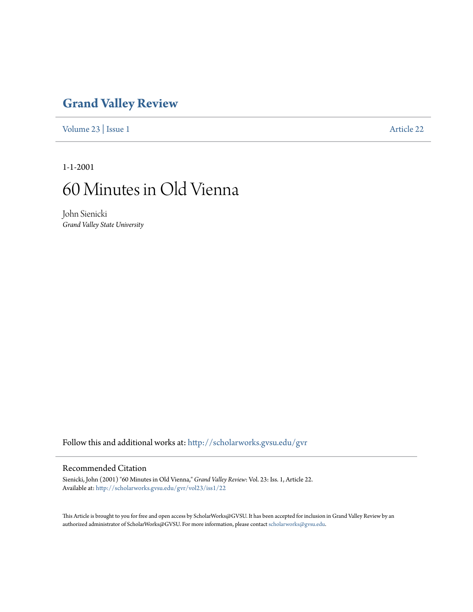### **[Grand Valley Review](http://scholarworks.gvsu.edu/gvr?utm_source=scholarworks.gvsu.edu%2Fgvr%2Fvol23%2Fiss1%2F22&utm_medium=PDF&utm_campaign=PDFCoverPages)**

[Volume 23](http://scholarworks.gvsu.edu/gvr/vol23?utm_source=scholarworks.gvsu.edu%2Fgvr%2Fvol23%2Fiss1%2F22&utm_medium=PDF&utm_campaign=PDFCoverPages) | [Issue 1](http://scholarworks.gvsu.edu/gvr/vol23/iss1?utm_source=scholarworks.gvsu.edu%2Fgvr%2Fvol23%2Fiss1%2F22&utm_medium=PDF&utm_campaign=PDFCoverPages) [Article 22](http://scholarworks.gvsu.edu/gvr/vol23/iss1/22?utm_source=scholarworks.gvsu.edu%2Fgvr%2Fvol23%2Fiss1%2F22&utm_medium=PDF&utm_campaign=PDFCoverPages)

1-1-2001

## 60 Minutes in Old Vienna

John Sienicki *Grand Valley State University*

Follow this and additional works at: [http://scholarworks.gvsu.edu/gvr](http://scholarworks.gvsu.edu/gvr?utm_source=scholarworks.gvsu.edu%2Fgvr%2Fvol23%2Fiss1%2F22&utm_medium=PDF&utm_campaign=PDFCoverPages)

#### Recommended Citation

Sienicki, John (2001) "60 Minutes in Old Vienna," *Grand Valley Review*: Vol. 23: Iss. 1, Article 22. Available at: [http://scholarworks.gvsu.edu/gvr/vol23/iss1/22](http://scholarworks.gvsu.edu/gvr/vol23/iss1/22?utm_source=scholarworks.gvsu.edu%2Fgvr%2Fvol23%2Fiss1%2F22&utm_medium=PDF&utm_campaign=PDFCoverPages)

This Article is brought to you for free and open access by ScholarWorks@GVSU. It has been accepted for inclusion in Grand Valley Review by an authorized administrator of ScholarWorks@GVSU. For more information, please contact [scholarworks@gvsu.edu.](mailto:scholarworks@gvsu.edu)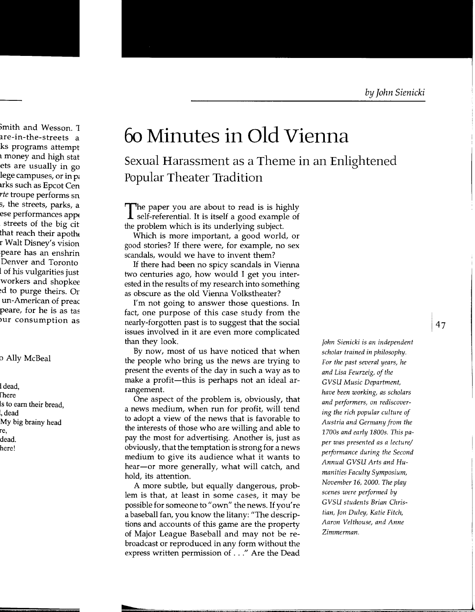# **6o Minutes in Old Vienna**

Sexual Harassment as a Theme in an Enlightened Popular Theater Tradition

The paper you are about to read is is highly<br>Self-referential. It is itself a good example of the problem which is its underlying subject.

Which is more important, a good world, or good stories? If there were, for example, no sex scandals, would we have to invent them?

If there had been no spicy scandals in Vienna two centuries ago, how would I get you interested in the results of my research into something as obscure as the old Vienna Volkstheater?

I'm not going to answer those questions. In fact, one purpose of this case study from the nearly-forgotten past is to suggest that the social issues involved in it are even more complicated than they look.

By now, most of us have noticed that when the people who bring us the news are trying to present the events of the day in such a way as to make a profit-this is perhaps not an ideal arrangement.

One aspect of the problem is, obviously, that a news medium, when run for profit, will tend to adopt a view of the news that is favorable to the interests of those who are willing and able to pay the most for advertising. Another is, just as obviously, that the temptation is strong for a news medium to give its audience what it wants to hear-or more generally, what will catch, and hold, its attention.

A more subtle, but equally dangerous, problem is that, at least in some cases, it may be possible for someone to "own" the news. If you're a baseball fan, you know the litany: "The descriptions and accounts of this game are the property of Major League Baseball and may not be rebroadcast or reproduced in any form without the express written permission of ... " Are the Dead

*John Sienicki is an independent scholar trained in philosophy. For the past several years, he and Lisa Feurzeig, of the GVSU Music Department, have been working, as scholars and performers, on rediscovering the rich popular culture of Austria and Germany from the 1700s and early 1800s. This paper was presented as a lecture/ performance during the Second Annual GVSU Arts and Humanities Faculty Symposium, November 16, 2000. The play scenes were performed by GVSU students Brian Christian, Jon Duley, Katie Fitch, Aaron Velthouse, and Anne Zimmerman.*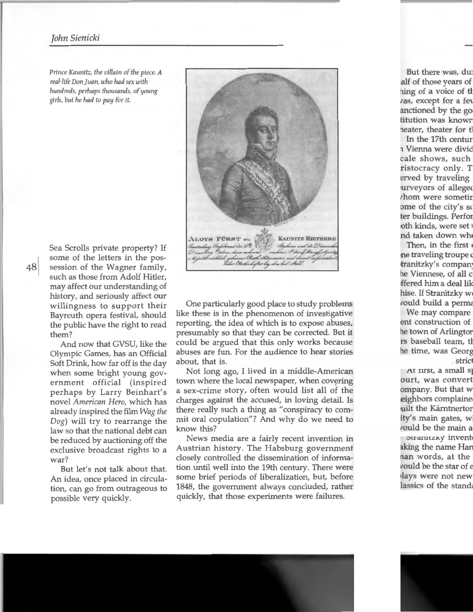#### *John Sienicki*

*Prince Kaunitz, the villain of the piece.* A *real-life Don juan, who had sex with hundreds, perhaps thousands, of young girls, but he had to pay for* it



Sea Scrolls private property? If some of the letters in the possession of the Wagner family, such as those from Adolf Hitler, may affect our understanding of history, and seriously affect our willingness to support their Bayreuth opera festival, should the public have the right to read them?

And now that GVSU, like the Olympic Games, has an Official Soft Drink, how far off is the day when some bright young government official (inspired perhaps by Larry Beinhart's novel *American Hero,* which has already inspired the film *Wag the Dog)* will try to rearrange the law so that the national debt can be reduced by auctioning off the exclusive broadcast rights to a war?

But let's not talk about that. An idea, once placed in circulation, can go from outrageous to possible very quickly.

One particularly good place to study problems like these is in the phenomenon of investigative reporting, the idea of which is to expose abuses, presumably so that they can be corrected. But it could be argued that this only works because abuses are fun. For the audience to hear stories about, that is.

Not long ago, I lived in a middle-American town where the local newspaper, when covering a sex-crime story, often would list all of the charges against the accused, in loving detail. Is there really such a thing as "conspiracy to commit oral copulation"? And why do we need to know this?

News media are a fairly recent invention in Austrian history. The Habsburg government closely controlled the dissemination of information until well into the 19th century. There were some brief periods of liberalization, but, before 1848, the government always concluded, rather quickly, that those experiments were failures.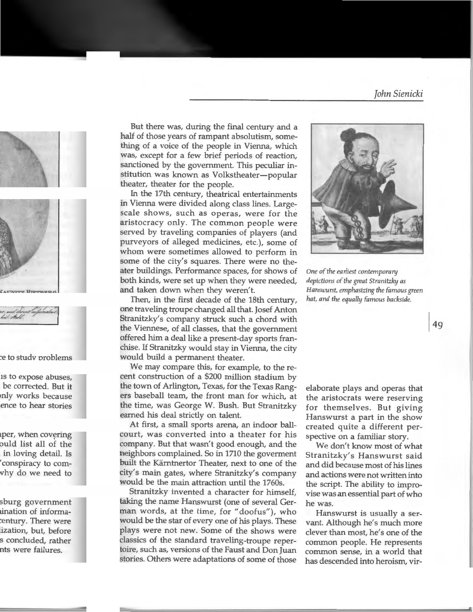But there was, during the final century and a half of those years of rampant absolutism, something of a voice of the people in Vienna, which was, except for a few brief periods of reaction, sanctioned by the government. This peculiar institution was known as Volkstheater-popular theater, theater for the people.

In the 17th century, theatrical entertainments in Vienna were divided along class lines. Largescale shows, such as operas, were for the aristocracy only. The common people were served by traveling companies of players (and purveyors of alleged medicines, etc.), some of whom were sometimes allowed to perform in some of the city's squares. There were no theater buildings. Performance spaces, for shows of both kinds, were set up when they were needed, and taken down when they weren't.

Then, in the first decade of the 18th century, one traveling troupe changed all that. Josef Anton Stranitzky's company struck such a chord with the Viennese, of all classes, that the government offered him a deal like a present-day sports franchise. If Stranitzky would stay in Vienna, the city would build a permanent theater.

We may compare this, for example, to the recent construction of a \$200 million stadium by the town of Arlington, Texas, for the Texas Rangers baseball team, the front man for which, at the time, was George W. Bush. But Stranitzky earned his deal strictly on talent.

At first, a small sports arena, an indoor ballcourt, was converted into a theater for his company. But that wasn't good enough, and the neighbors complained. So in 1710 the goverment built the Karntnertor Theater, next to one of the city's main gates, where Stranitzky's company would be the main attraction until the 1760s.

Stranitzky invented a character for himself, taking the name Hanswurst (one of several German words, at the time, for "doofus"), who would be the star of every one of his plays. These plays were not new. Some of the shows were classics of the standard traveling-troupe repertoire, such as, versions of the Faust and Don Juan stories. Others were adaptations of some of those



*One of the earliest contemporary depictions of the great Stranitzky as Hanswurst, emphasizing the famous green hat, and the equally famous backside.* 

elaborate plays and operas that the aristocrats were reserving for themselves. But giving Hanswurst a part in the show created quite a different perspective on a familiar story.

We don't know most of what Stranitzky's Hanswurst said and did because most of his lines and actions were not written into the script. The ability to improvise was an essential part of who he was.

Hanswurst is usually a servant. Although he's much more clever than most, he's one of the common people. He represents common sense, in a world that has descended into heroism, vir-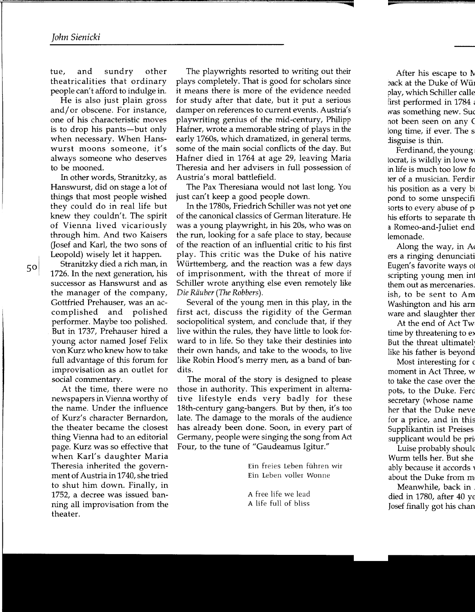tue, and sundry other theatricalities that ordinary people can't afford to indulge in.

He is also just plain gross and/ or obscene. For instance, one of his characteristic moves is to drop his pants-but only when necessary. When Hanswurst moons someone, it's always someone who deserves to be mooned.

In other words, Stranitzky, as Hanswurst, did on stage a lot of things that most people wished they could do in real life but knew they couldn't. The spirit of Vienna lived vicariously through him. And two Kaisers (Josef and Karl, the two sons of Leopold) wisely let it happen.

Stranitzky died a rich man, in 1726. In the next generation, his successor as Hanswurst and as the manager of the company, Gottfried Prehauser, was an accomplished and polished performer. Maybe too polished. But in 1737, Prehauser hired a young actor named Josef Felix von Kurz who knew how to take full advantage of this forum for improvisation as an outlet for social commentary.

At the time, there were no newspapers in Vienna worthy of the name. Under the influence of Kurz's character Bernardon, the theater became the closest thing Vienna had to an editorial page. Kurz was so effective that when Karl's daughter Maria Theresia inherited the government of Austria in 1740, she tried to shut him down. Finally, in 1752, a decree was issued banning all improvisation from the theater.

The playwrights resorted to writing out their plays completely. That is good for scholars since it means there is more of the evidence needed for study after that date, but it put a serious damper on references to current events. Austria's playwriting genius of the mid-century, Philipp Hafner, wrote a memorable string of plays in the early 1760s, which dramatized, in general terms, some of the main social conflicts of the day. But Hafner died in 1764 at age 29, leaving Maria Theresia and her advisers in full possession of Austria's moral battlefield.

The Pax Theresiana would not last long. You just can't keep a good people down.

In the 1780s, Friedrich Schiller was not yet one of the canonical classics of German literature. He was a young playwright, in his 20s, who was on the run, looking for a safe place to stay, because of the reaction of an influential critic to his first play. This critic was the Duke of his native Wiirttemberg, and the reaction was a few days of imprisonment, with the threat of more if Schiller wrote anything else even remotely like *Die Riiuber (The Robbers).* 

Several of the young men in this play, in the first act, discuss the rigidity of the German sociopolitical system, and conclude that, if they live within the rules, they have little to look forward to in life. So they take their destinies into their own hands, and take to the woods, to live like Robin Hood's merry men, as a band of bandits.

The moral of the story is designed to please those in authority. This experiment in alternative lifestyle ends very badly for these 18th-century gang-hangers. But by then, it's too late. The damage to the morals of the audience has already been done. Soon, in every part of Germany, people were singing the song from Act Four, to the tune of "Gaudeamus Igitur."

> Ein freies Leben fuhren wir Ein Leben voller Wonne

A free life we lead A life full of bliss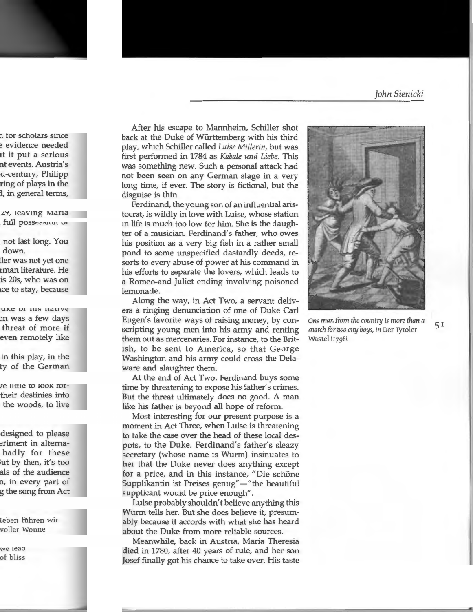After his escape to Mannheim, Schiller shot back at the Duke of Wiirttemberg with his third play, which Schiller called *Luise Millerin,* but was first performed in 178\_4 as *Kabale und Liebe.* This was something new. Such a personal attack had not been seen on any German stage in a very long time, if ever. The story is fictional, but the disguise is thin.

Ferdinand, the young son of an influential aristocrat, is wildly in love with Luise, whose station in life is much too low for him. She is the daughter of a musician. Ferdinand's father, who owes his position as a very big fish in a rather small pond to some unspecified dastardly deeds, resorts to every abuse of power at his command in his efforts to separate the lovers, which leads to a Romeo-and-Juliet ending involving poisoned lemonade.

Along the way, in Act Two, a servant delivers a ringing denunciation of one of Duke Carl Eugen's favorite ways of raising money, by conscripting young men into his army and renting them out as mercenaries. For instance, to the British, to be sent to America, so that George Washington and his army could cross the Delaware and slaughter them.

At the end of Act Two, Ferdinand buys some time by threatening to expose his father's crimes. But the threat ultimately does no good. A man like his father is beyond all hope of reform.

Most interesting for our present purpose is a moment in Act Three, when Luise is threatening to take the case over the head of these local despots, to the Duke. Ferdinand's father's sleazy secretary (whose name is Wurm) insinuates to her that the Duke never does anything except for a price, and in this instance, "Die schöne Supplikantin ist Preises genug"—"the beautiful supplicant would be price enough".

Luise probably shouldn't believe anything this Wurm tells her. But she does believe it, presumably because it accords with what she has heard about the Duke from more reliable sources.

Meanwhile, back in Austria, Maria Theresia died in 1780, after 40 years of rule, and her son Josef finally got his chance to take over. His taste



*One man from the country is more than a* 5 I *match for two city boys,* in Der 1}'ro1er Wastel *( 1796!.*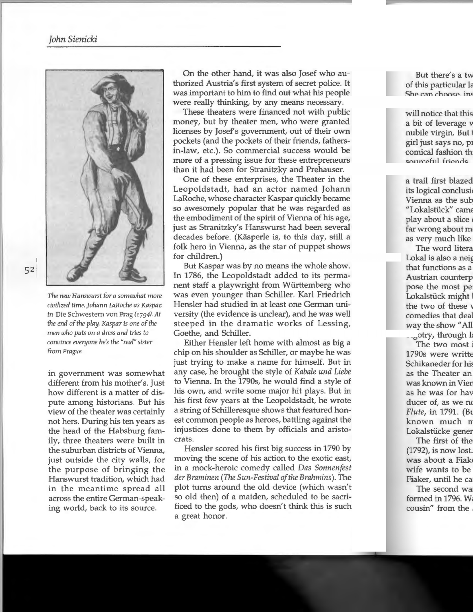

*The new Hanswu rst fo r a somewhat more civilized time. j ohann LaRoche as Kaspar; in* Die Schwestem von Prag *(I 7941.At the end of the play, Kaspar is one of the men who puts on a dress and tries to convince everyone he's the "real" sister from Prague.* 

in government was somewhat different from his mother's. Just how different is a matter of dispute among historians. But his view of the theater was certainly not hers. During his ten years as the head of the Habsburg family, three theaters were built in the suburban districts of Vienna, just outside the city walls, for the purpose of bringing the Hanswurst tradition, which had in the meantime spread all across the entire German-speaking world, back to its source.

On the other hand, it was also Josef who authorized Austria's first system of secret police. It was important to him to find out what his people were really thinking, by any means necessary.

These theaters were financed not with public money, but by theater men, who were granted licenses by Josef's government, out of their own pockets (and the pockets of their friends, fathersin-law, etc.). So commercial success would be more of a pressing issue for these entrepreneurs than it had been for Stranitzky and Prehauser.

One of these enterprises, the Theater in the Leopoldstadt, had an actor named Johann LaRoche, whose character Kaspar quickly became so awesomely popular that he was regarded as the embodiment of the spirit of Vienna of his age, just as Stranitzky's Hanswurst had been several decades before. (Käsperle is, to this day, still a folk hero in Vienna, as the star of puppet shows for children.)

But Kaspar was by no means the whole show. In 1786, the Leopoldstadt added to its permanent staff a playwright from Wiirttemberg who was even younger than Schiller. Karl Friedrich Hensler had studied in at least one German university (the evidence is unclear), and he was well steeped in the dramatic works of Lessing, Goethe, and Schiller.

Either Hensler left home with almost as big a chip on his shoulder as Schiller, or maybe he was just trying to make a name for himself. But in any case, he brought the style of *Kabale und Liebe*  to Vienna. In the 1790s, he would find a style of his own, and write some major hit plays. But in his first few years at the Leopoldstadt, he wrote a string of Schilleresque shows that featured honest common people as heroes, battling against the injustices done to them by officials and aristocrats.

Hensler scored his first big success in 1790 by moving the scene of his action to the exotic east, in a mock-heroic comedy called *Das Sonnenfest der Braminen (The Sun-Festival of the Brahmins).* The plot turns around the old device (which wasn't so old then) of a maiden, scheduled to be sacrificed to the gods, who doesn't think this is such a great honor.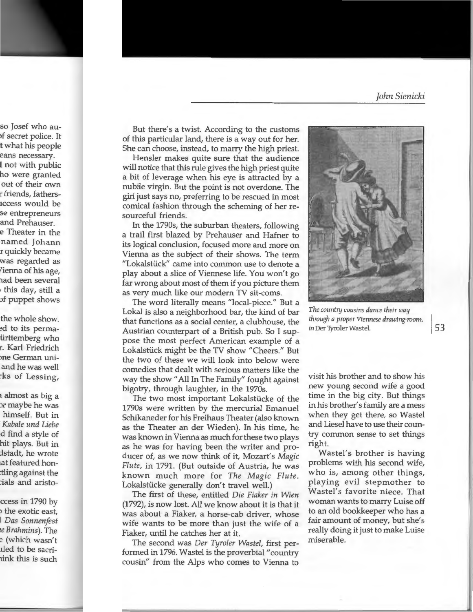But there's a twist. According to the customs of this particular land, there is a way out for her. She can choose, instead, to marry the high priest.

Hensler makes quite sure that the audience will notice that this rule gives the high priest quite a bit of leverage when his eye is attracted by a nubile virgin. But the point is not overdone. The girl just says no, preferring to be rescued in most comical fashion through the scheming of her resourceful friends.

In the 1790s, the suburban theaters, following a trail first blazed by Prehauser and Hafner to its logical conclusion, focused more and more on Vienna as the subject of their shows. The term "Lokalstiick" carne into common use to denote a play about a slice of Viennese life. You won't go far wrong about most of them if you picture them as very much like our modern TV sit-coms.

The word literally means "local-piece." But a Lokal is also a neighborhood bar, the kind of bar that functions as a social center, a clubhouse, the Austrian counterpart of a British pub. So I suppose the most perfect American example of a Lokalstiick might be the TV show "Cheers." But the two of these we will look into below were comedies that dealt with serious matters like the way the show "All In The Family" fought against bigotry, through laughter, in the 1970s.

The two most important Lokalstiicke of the 1790s were written by the mercurial Emanuel Schikaneder for his Freihaus Theater (also known as the Theater an der Wieden). In his time, he was known in Vienna as much for these two plays as he was for having been the writer and producer of, as we now think of it, Mozart's *Magic Flute,* in 1791. (But outside of Austria, he was known much more for *The Magic Flute.*  Lokalstiicke generally don't travel well.)

The first of these, entitled *Die Fiaker in Wien*  (1792), is now lost. All we know about it is that it was about a Fiaker, a horse-cab driver, whose wife wants to be more than just the wife of a Fiaker, until he catches her at it.

The second was *Der Tyroler Waste[,* first performed in 1796. Wastel is the proverbial "country cousin" from the Alps who comes to Vienna to



*The country cousins dance their way through a proper Viennese drawing-room,* I in Der Tyroler Wastel. 53

visit his brother and to show his new young second wife a good time in the big city. But things in his brother's family are a mess when they get there, so Wastel and Liese! have to use their country common sense to set things right.

Wastel's brother is having problems with his second wife, who is, among other things, playing evil stepmother to Wastel's favorite niece. That woman wants to marry Luise off to an old bookkeeper who has a fair amount of money, but she's really doing it just to make Luise miserable.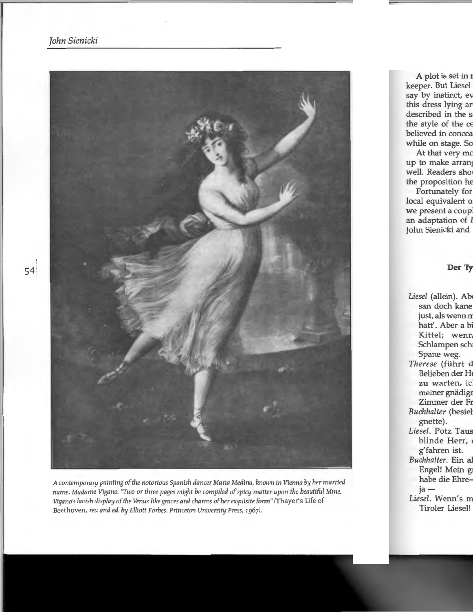

*A contemporary painting of the notorious Spanish dancer Maria Medina, known* in *Vienna by her married name, Madame Vigano. "Two or three pages might be compiled of spicy matter upon the beautiful Mme. Vigano's lavish display of the Venus-like graces and charms ofher exquisite form"* (Thayer's Life of Beethoven, *reu and ed. by Elliott Forbes, Princeton University Press, 1967).*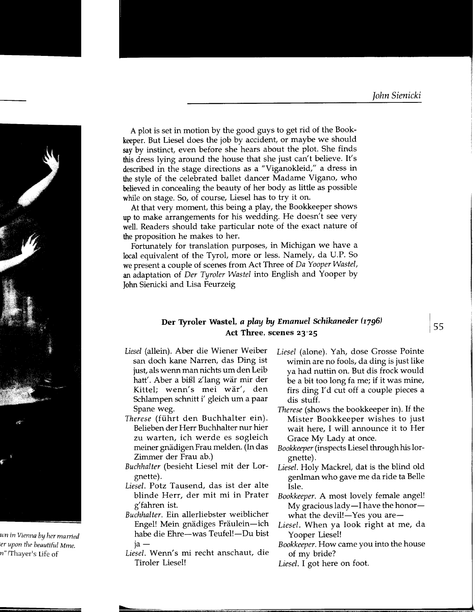A plot is set in motion by the good guys to get rid of the Bookkeeper. But Liesel does the job by accident, or maybe we should say by instinct, even before she hears about the plot. She finds this dress lying around the house that she just can't believe. It's described in the stage directions as a "Viganokleid," a dress in the style of the celebrated ballet dancer Madame Vigano, who believed in concealing the beauty of her body as little as possible while on stage. So, of course, Liesel has to try it on.

At that very moment, this being a play, the Bookkeeper shows up to make arrangements for his wedding. He doesn't see very well. Readers should take particular note of the exact nature of the proposition he makes to her.

Fortunately for translation purposes, in Michigan we have a local equivalent of the Tyrol, more or less. Namely, da U.P. So we present a couple of scenes from Act Three of *Da Yooper Wastel,*  an adaptation of *Der Tyroler Wastel* into English and Yooper by John Sienicki and Lisa Feurzeig

#### Der Tyroler Wastel, *a play by Emanuel Schikaneder (1796)* Act Three, scenes 23-25

- Liesel (allein). Aber die Wiener Weiber san doch kane Narren, das Ding ist just, als wenn man nichts um den Leib hatt'. Aber a bißl z'lang wär mir der Kittel; wenn's mei war', den Schlampen schnitt i' gleich um a paar Spane weg.
- *Therese* (fiihrt den Buchhalter ein). Belieben der Herr Buchhalter nur hier zu warten, ich werde es sogleich meiner gnädigen Frau melden. (In das Zimmer der Frau ab.)
- *Buchhalter* (besieht Liese! mit der Lorgnette).
- *Liesel.* Potz Tausend, das ist der alte blinde Herr, der mit mi in Prater g' fahren ist.
- *Buchhalter.* Ein allerliebster weiblicher Engel! Mein gnädiges Fräulein-ich habe die Ehre-was Teufel!-Du bist ja-
- *Liesel.* Wenn's mi recht anschaut, die Tiroler Liese!!
- *Liesel* (alone). Yah, dose Grosse Pointe wimin are no fools, da ding is just like ya had nuttin on. But dis frock would be a bit too long fa me; if it was mine, firs ding I'd cut off a couple pieces a dis stuff.
- *Therese* (shows the bookkeeper in). If the Mister Bookkeeper wishes to just wait here, I will announce it to Her Grace My Lady at once.
- *Bookkeeper* (inspects Liesel through his lorgnette).
- *Liesel.* Holy Mackrel, dat is the blind old genlman who gave me da ride ta Belle Isle.
- *Bookkeeper.* A most lovely female angel! My gracious lady  $-$ I have the honor  $$ what the devil! $-Y$ es you are $-$
- *Liesel.* When ya look right at me, da Yooper Liesel!
- *Bookkeeper.* How came you into the house of my bride?
- *Liesel.* I got here on foot.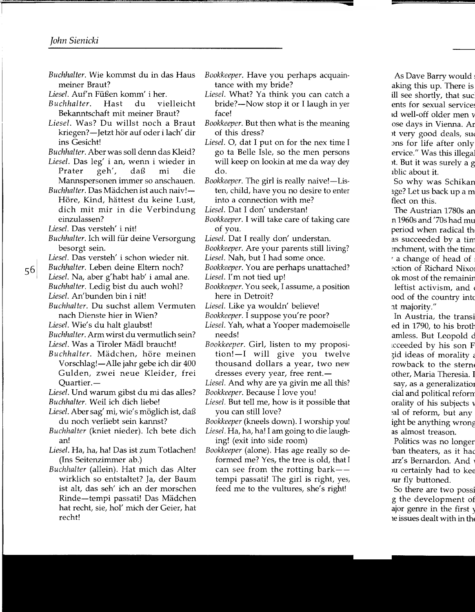*Buchhalter.* Wie kommst du in das Haus meiner Braut?

Liesel. Auf'n Füßen komm' i her.

- *Buchhalter.* Hast du vielleicht Bekanntschaft mit meiner Braut?
- *Liesel.* Was? Du willst noch a Braut kriegen?-Jetzt hör auf oder i lach' dir ins Gesicht!
- *Buchhalter.* Aber was soll denn das Kleid?
- *Liesel.* Das leg' i an, wenn i wieder in Prater geh', daß mi die Mannspersonen immer so anschauen.
- $Buchhalter$ . Das Mädchen ist auch naiv!-Höre, Kind, hättest du keine Lust, dich mit mir in die Verbindung einzulassen?
- *Liesel.* Das versteh' i nit!

56

- *Buchhalter.* Ich will fur deine Versorgung besorgt sein.
- *Liesel.* Das versteh' i schon wieder nit.
- *Buchhalter.* Leben deine Eltern noch? *Liesel.* Na, aber g'habt hab' i amal ane. *Buchhalter.* Ledig bist du auch wohl? *Liesel.* An'bunden bin i nit!
- *Buchhalter.* Du suchst allem Vermuten nach Dienste hier in Wien?

Liesel. Wie's du halt glaubst!

*Buchhalter.* Arm wirst du vermutlich sein? Liesel. Was a Tiroler Mädl braucht!

*Buchhalter.* Madchen, hare meinen Vorschlag!-Alle jahr gebe ich dir 400 Gulden, zwei neue Kleider, frei Quartier.-

Liesel. Und warum gibst du mi das alles? *Buchhalter.* Weil ich dich liebe!

- Liesel. Aber sag' mi, wie's möglich ist, daß du noch verliebt sein kannst?
- *Buchhalter* (kniet nieder). Ich bete dich an!
- *Liesel.* Ha, ha, ha! Das ist zum Totlachen! (Ins Seitenzimmer ab.)
- *Buchhalter* (allein). Hat mich das Alter wirklich so entstaltet? Ja, der Baum ist alt, das seh' ich an der morschen Rinde-tempi passati! Das Madchen hat recht, sie, hol' mich der Geier, hat recht!
- *Bookkeeper.* Have you perhaps acquaintance with my bride?
- *Liesel.* What? Ya think you can catch a bride?-Now stop it or I laugh in yer face!
- *Bookkeeper.* But then what is the meaning of this dress?
- Liesel. O, dat I put on for the nex time I go ta Belle Isle, so the men persons will keep on lookin at me da way dey do.
- *Bookkeeper.* The girl is really naive!—Listen, child, have you no desire to enter into a connection with me?
- *Liesel.* Dat I don' understan!
- *Bookkeeper.* I will take care of taking care of you.
- *Liesel.* Dat I really don' understan.
- *Bookkeeper.* Are your parents still living?
- *Liesel.* Nah, but I had some once.

*Bookkeeper.* You are perhaps unattached?

- *Liesel.* I'm not tied up!
- *Bookkeeper.* You seek, I assume, a position here in Detroit?
- *Liesel.* Like ya wouldn' believe!
- *Bookkeeper.* I suppose you're poor?
- *Liesel.* Yah, what a Yooper mademoiselle needs!
- *Bookkeeper.* Girl, listen to my proposition!-I will give you twelve thousand dollars a year, two new dresses every year, free rent.-
- *Liesel.* And why are ya givin me all this?
- *Bookkeeper.* Because I love you!
- *Liesel.* But tell me, how is it possible that you can still love?
- *Bookkeeper* (kneels down). I worship you!
- *Liesel.* Ha, ha, ha! I am going to die laughing! (exit into side room)

*Bookkeeper* (alone). Has age really so deformed me? Yes, the tree is old, that I can see from the rotting  $bar$ tempi passati! The girl is right, yes, feed me to the vultures, she's right!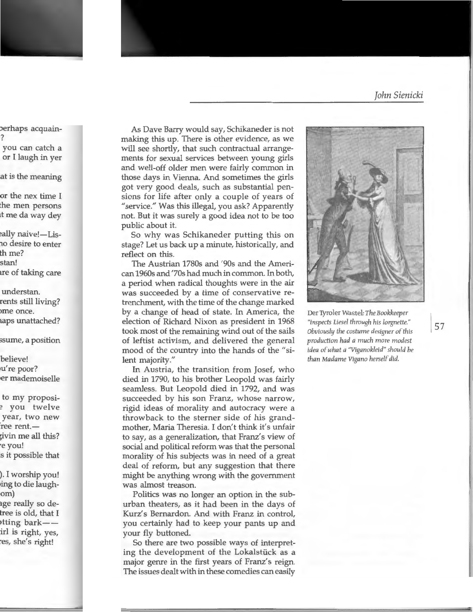As Dave Barry would say, Schikaneder is not making this up. There is other evidence, as we will see shortly, that such contractual arrangements for sexual services between young girls and well-off older men were fairly common in those days in Vienna. And sometimes the girls got very good deals, such as substantial pensions for life after only a couple of years of "service." Was this illegal, you ask? Apparently not. But it was surely a good idea not to be too public about it.

So why was Schikaneder putting this on stage? Let us back up a minute, historically, and reflect on this.

The Austrian 1780s and '90s and the American 1960s and '70s had much in common. In both, a period when radical thoughts were in the air was succeeded by a time of conservative retrenchment, with the time of the change marked by a change of head of state. In America, the election of Richard Nixon as president in 1968 took most of the remaining wind out of the sails of leftist activism, and delivered the general mood of the country into the hands of the "silent majority."

In Austria, the transition from Josef, who died in 1790, to his brother Leopold was fairly seamless. But Leopold died in 1792, and was succeeded by his son Franz, whose narrow, rigid ideas of morality and autocracy were a throwback to the sterner side of his grandmother, Maria Theresia. I don't think it's unfair to say, as a generalization, that Franz's view of social and political reform was that the personal morality of his subjects was in need of a great deal of reform, but any suggestion that there might be anything wrong with the government was almost treason.

Politics was no longer an option in the suburban theaters, as it had been in the days of Kurz's Bernardon. And with Franz in control, you certainly had to keep your pants up and your fly buttoned.

So there are two possible ways of interpreting the development of the Lokalstiick as a major genre in the first years of Franz's reign. The issues dealt with in these comedies can easily



Der Tyroler Was tel: *The Bookkeeper "inspects Liesel through his lorgnette." Obviously the costume designer of this production had a much more modest idea of what a "Viganokleid" should be than Madame Vigano herself did.*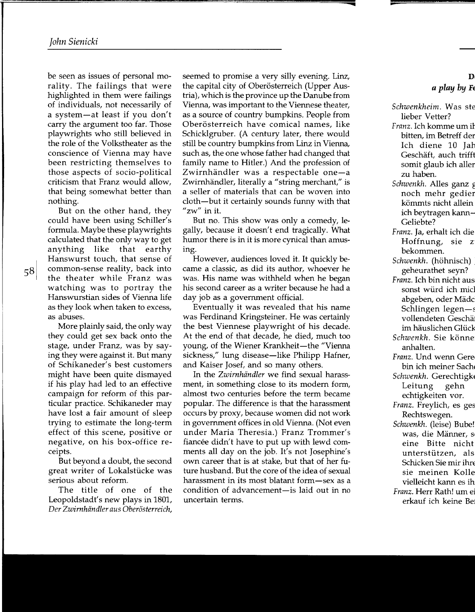be seen as issues of personal morality. The failings that were highlighted in them were failings of individuals, not necessarily of a system-at least if you don't carry the argument too far. Those playwrights who still believed in the role of the Volkstheater as the conscience of Vienna may have been restricting themselves to those aspects of socio-political criticism that Franz would allow, that being somewhat better than nothing.

But on the other hand, they could have been using Schiller's formula. Maybe these playwrights calculated that the only way to get anything like that earthy Hanswurst touch, that sense of common-sense reality, back into the theater while Franz was watching was to portray the Hanswurstian sides of Vienna life as they look when taken to excess, as abuses.

More plainly said, the only way they could get sex back onto the stage, under Franz, was by saying they were against it. But many of Schikaneder's best customers might have been quite dismayed if his play had led to an effective campaign for reform of this particular practice. Schikaneder may have lost a fair amount of sleep trying to estimate the long-term effect of this scene, positive or negative, on his box-office receipts.

But beyond a doubt, the second great writer of Lokalstiicke was serious about reform.

The title of one of the Leopoldstadt's new plays in 1801, *Der Zwirnhiindler aus Oberosterreich,* 

seemed to promise a very silly evening. Linz, the capital city of Oberösterreich (Upper Austria), which is the province up the Danube from Vienna, was important to the Viennese theater, as a source of country bumpkins. People from Oberösterreich have comical names, like Schicklgruber. (A century later, there would still be country bumpkins from Linz in Vienna, such as, the one whose father had changed that family name to Hitler.) And the profession of Zwirnhändler was a respectable one-a Zwirnhändler, literally a "string merchant," is a seller of materials that can be woven into cloth-but it certainly sounds funny with that "zw" in it.

But no. This show was only a comedy, legally, because it doesn't end tragically. What humor there is in it is more cynical than amusing.

However, audiences loved it. It quickly became a classic, as did its author, whoever he was. His name was withheld when he began his second career as a writer because he had a day job as a government official.

Eventually it was revealed that his name was Ferdinand Kringsteiner. He was certainly the best Viennese playwright of his decade. At the end of that decade, he died, much too young, of the Wiener Krankheit-the "Vienna" sickness," lung disease—like Philipp Hafner, and Kaiser Josef, and so many others.

In the *Zwirnhiindler* we find sexual harassment, in something close to its modern form, almost two centuries before the term became popular. The difference is that the harassment occurs by proxy, because women did not work in government offices in old Vienna. (Not even under Maria Theresia.) Franz Trammer's fiancée didn't have to put up with lewd comments all day on the job. It's not Josephine's own career that is at stake, but that of her future husband. But the core of the idea of sexual harassment in its most blatant form—sex as a condition of advancement- is laid out in no uncertain terms.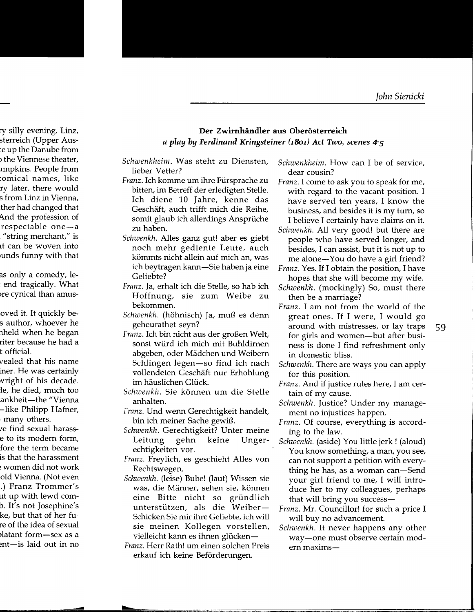#### **Der Zwimhandler aus Oberosterreich**  *a play by Ferdinand Kringsteiner (r8m) Act Two, scenes 4-5*

- *Schwenkheim.* Was steht zu Diensten, lieber Vetter?
- Franz. Ich komme um ihre Fürsprache zu bitten, im Betreff der erledigten Stelle. Ich diene 10 Jahre, kenne das Geschaft, auch trifft mich die Reihe, somit glaub ich allerdings Ansprüche zu haben.
- *Schwenkh.* Alles ganz gut! aber es giebt noch mehr gediente Leute, auch kömmts nicht allein auf mich an, was ich beytragen kann-Sie haben ja eine Geliebte?
- Franz. Ja, erhalt ich die Stelle, so hab ich Hoffnung, sie zum Weibe zu bekommen.
- *Schwenkh.* (hohnisch) Ja, muB es denn geheurathet seyn?
- Franz. Ich bin nicht aus der großen Welt, sonst wiird ich mich mit Buhldirnen abgeben, oder Mädchen und Weibern Schlingen legen-so find ich nach vollendeten Geschäft nur Erhohlung im häuslichen Glück.
- *Schwenkh.* Sie können um die Stelle anhalten.
- Franz. Und wenn Gerechtigkeit handelt, bin ich meiner Sache gewiB.
- *Schwenkh.* Gerechtigkeit? Unter meine Leitung gehn keine Ungerechtigkeiten vor.
- Franz. Freylich, es geschieht Alles von Rechtswegen.
- *Schwenkh.* (leise) Bube! (laut) Wissen sie was, die Männer, sehen sie, können eine Bitte nicht so griindlich unterstützen, als die Weiber-Schicken Sie mir ihre Geliebte, ich will sie meinen Kollegen vorstellen, vielleicht kann es ihnen glücken-
- Franz. Herr Rath! um einen solchen Preis erkauf ich keine Beförderungen.
- *Schwenkheim.* How can I be of service, dear cousin?
- Franz. I come to ask you to speak for me, with regard to the vacant position. I have served ten years, I know the business, and besides it is my turn, so I believe I certainly have claims on it.
- *Schwenkh.* All very good! but there are people who have served longer, and besides, I can assist, but it is not up to me alone-You do have a girl friend?
- Franz. Yes. If I obtain the position, I have hopes that she will become my wife.
- *Schwenkh.* (mockingly) So, must there then be a marriage?
- Franz. I am not from the world of the great ones. If I were, I would go around with mistresses, or lay traps for girls and women-but after business is done I find refreshment only in domestic bliss.
- *Schwenkh.* There are ways you can apply for this position.
- Franz. And if justice rules here, I am certain of my cause.
- *Schwenkh.* Justice? Under my management no injustices happen.
- Franz. Of course, everything is according to the law.
- *Schwenkh.* (aside) You little jerk! (aloud) You know something, a man, you see, can not support a petition with everything he has, as a woman can-Send your girl friend to me, I will introduce her to my colleagues, perhaps that will bring you success-
- Franz. Mr. Councillor! for such a price I will buy no advancement.
- *Schwenkh.* It never happens any other way-one must observe certain modern maxims-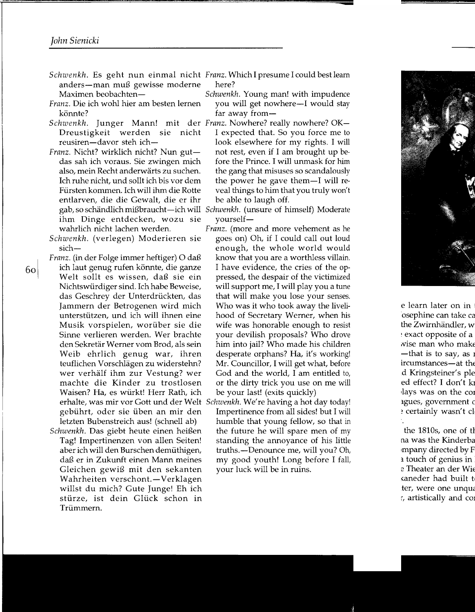- Schwenkh. Es geht nun einmal nicht Franz. Which I presume I could best learn anders-man muß gewisse moderne Maximen beobachten-
- Franz. Die ich wohl hier am besten lernen könnte?
- Schwenkh. Junger Mann! mit der Franz. Nowhere? really nowhere? OK-Dreustigkeit werden sie nicht reusiren-davor steh ich-
- Franz. Nicht? wirklich nicht? Nun gutdas sah ich voraus. Sie zwingen mich also, mein Recht anderwarts zu suchen. Ich ruhe nicht, und sollt ich bis vor dem Fürsten kommen. Ich will ihm die Rotte entlarven, die die Gewalt, die er ihr ihm Dinge entdecken, wozu sie wahrlich nicht lachen werden.
- *Schwenkh.* (verlegen) Moderieren sie sich-
- Franz. (in der Folge immer heftiger) O daß ich laut genug rufen könnte, die ganze Welt sollt es wissen, daß sie ein Nichtswürdiger sind. Ich habe Beweise, das Geschrey der Unterdrückten, das Jammern der Betrogenen wird mich unterstützen, und ich will ihnen eine Musik vorspielen, worüber sie die Sinne verlieren werden. Wer brachte den Sekretar Werner vom Brod, als sein Weib ehrlich genug war, ihren teuflichen Vorschlagen zu widerstehn? wer verhalf ihm zur Vestung? wer machte die Kinder zu trostlosen Waisen? Ha, es würkt! Herr Rath, ich erhalte, was mir vor Gott und der Welt *Schwenkh.* We're having a hot day today! gebührt, oder sie üben an mir den letzten Bubenstreich aus! (schnell ab)
	- *Schwenkh.* Das giebt heute einen heißen Tag! Impertinenzen von allen Seiten! aber ich will den Burschen demüthigen, daß er in Zukunft einen Mann meines Gleichen gewiß mit den sekanten Wahrheiten verschont.-Verklagen willst du mich? Cute Junge! Eh ich stürze, ist dein Glück schon in Trümmern.
- here?
- *Schwenkh.* Young man! with impudence you will get nowhere-I would stay far away from-
- I expected that. So you force me to look elsewhere for my rights. I will not rest, even if I am brought up before the Prince. I will unmask for him the gang that misuses so scandalously the power he gave them-I will reveal things to him that you truly won't be able to laugh off.
- gab, so schändlich mißbraucht—ich will Schwenkh. (unsure of himself) Moderate yourself-
	- Franz. (more and more vehement as he goes on) Oh, if I could call out loud enough, the whole world would know that you are a worthless villain. I have evidence, the cries of the oppressed, the despair of the victimized will support me, I will play you a tune that will make you lose your senses. Who was it who took away the livelihood of Secretary Werner, when his wife was honorable enough to resist your devilish proposals? Who drove him into jail? Who made his children desperate orphans? Ha, it's working! Mr. Councillor, I will get what, before God and the world, I am entitled to, or the dirty trick you use on me will be your last! (exits quickly)
	- Impertinence from all sides! but I will humble that young fellow, so that in the future he will spare men of my standing the annoyance of his little truths.—Denounce me, will you? Oh, my good youth! Long before I fall, your luck will be in ruins.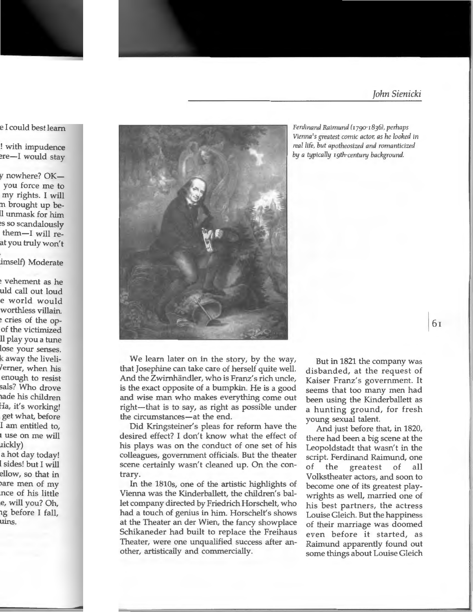

*Ferdinand Raimund !I790·I8J6), perhaps Vienna's greatest comic actor; as he looked in rea/life, but apotheosized and romanticized by a typically 19th·century background.* 

We learn later on in the story, by the way, that Josephine can take care of herself quite well. And the Zwirnhändler, who is Franz's rich uncle, is the exact opposite of a bumpkin. He is a good and wise man who makes everything come out right—that is to say, as right as possible under the circumstances—at the end.

Did Kringsteiner's pleas for reform have the desired effect? I don't know what the effect of his plays was on the conduct of one set of his colleagues, government officials. But the theater scene certainly wasn't cleaned up. On the contrary.

In the 1810s, one of the artistic highlights of Vienna was the Kinderballett, the children's ballet company directed by Friedrich Horschelt, who had a touch of genius in him. Horschelt's shows at the Theater an der Wien, the fancy showplace Schikaneder had built to replace the Freihaus Theater, were one unqualified success after another, artistically and commercially.

But in 1821 the company was disbanded, at the request of Kaiser Franz's government. It seems that too many men had been using the Kinderballett as a hunting ground, for fresh young sexual talent.

And just before that, in 1820, there had been a big scene at the Leopoldstadt that wasn't in the script. Ferdinand Raimund, one of the greatest of all Volkstheater actors, and soon to become one of its greatest playwrights as well, married one of his best partners, the actress Louise Gleich. But the happiness of their marriage was doomed even before it started, as Raimund apparently found out some things about Louise Gleich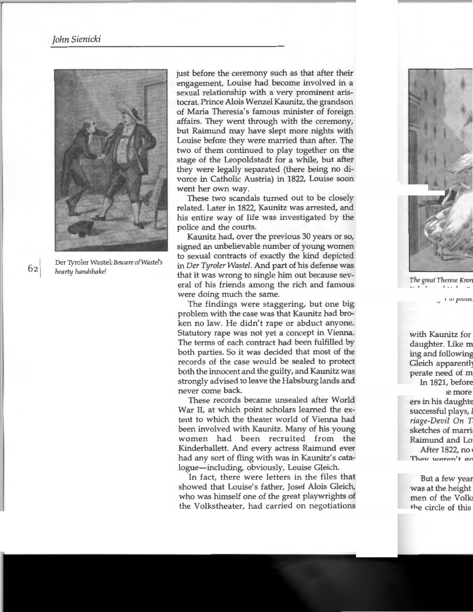

Der 'I)rroler Wastel: *Beware ofWastel's hearty handshake!* 

just before the ceremony such as that after their engagement, Louise had become involved in a sexual relationship with a very prominent aristocrat, Prince Alois Wenzel Kaunitz, the grandson of Maria Theresia's famous minister of foreign affairs. They went through with the ceremony, but Raimund may have slept more nights with Louise before they were married than after. The two of them continued to play together on the stage of the Leopoldstadt for a while, but after they were legally separated (there being no divorce in Catholic Austria) in 1822, Louise soon went her own way.

These two scandals turned out to be closely related. Later in 1822, Kaunitz was arrested, and his entire way of life was investigated by the police and the courts.

Kaunitz had, over the previous 30 years or so, signed an unbelievable number of young women to sexual contracts of exactly the kind depicted in *Der Tyroler Wastel.* And part of his defense was that it was wrong to single him out because several of his friends among the rich and famous were doing much the same.

The findings were staggering, but one big problem with the case was that Kaunitz had broken no law. He didn't rape or abduct anyone. Statutory rape was not yet a concept in Vienna. The terms of each contract had been fulfilled by both parties. So it was decided that most of the records of the case would be sealed to protect both the innocent and the guilty, and Kaunitz was strongly advised to leave the Habsburg lands and never come back.

These records became unsealed after World War II, at which point scholars learned the extent to which the theater world of Vienna had been involved with Kaunitz. Many of his young women had been recruited from the Kinderballett. And every actress Raimund ever had any sort of fling with was in Kaunitz's catalogue-including, obviously, Louise Gleich.

In fact, there were letters in the files that showed that Louise's father, Josef Alois Gleich, who was himself one of the great playwrights of the Volkstheater, had carried on negotiations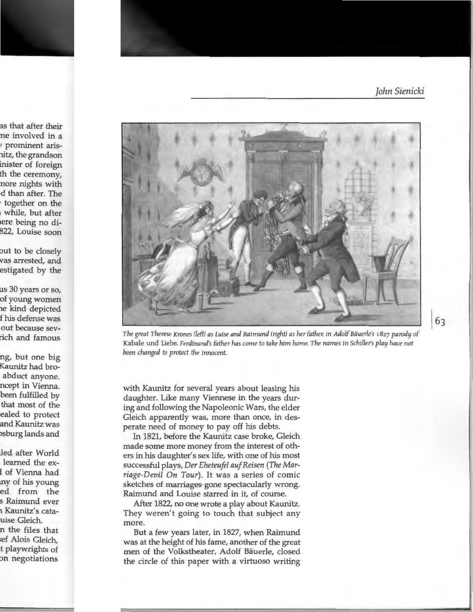

*The great Therese Krones !1eft) as Luise and Raimund (right) as her father; in Adolf Bauerle's* r827 *parody of*  Kabale und Liebe. *Ferdinand's father has come to take him home. The names in Schiller's play have not been changed to protect the innocent.* 

with Kaunitz for several years about leasing his daughter. Like many Viennese in the years during and following the Napoleonic Wars, the elder Gleich apparently was, more than once, in desperate need of money to pay off his debts.

In 1821, before the Kaunitz case broke, Gleich made some more money from the interest of others in his daughter's sex life, with one of his most successful plays, *Der Eheteufel auf Reisen (The Marriage-Devil On Tour).* It was a series of comic sketches of marriages· gone spectacularly wrong. Raimund and Louise starred in it, of course.

After 1822, no one wrote a play about Kaunitz. They weren't going to touch that subject any more.

But a few years later, in 1827, when Raimund was at the height of his fame, another of the great men of the Volkstheater, Adolf Bauerle, closed the circle of this paper with a virtuoso writing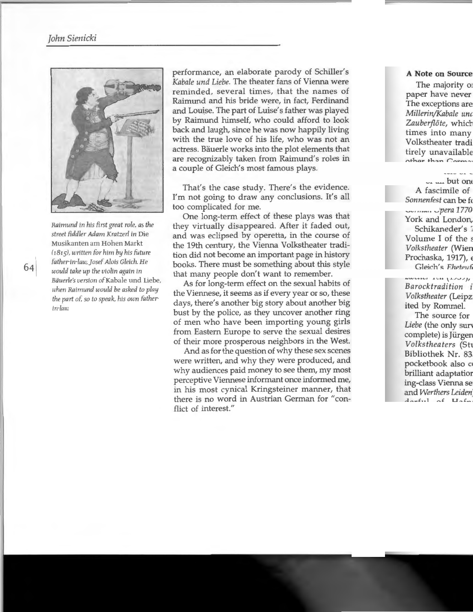

*Raimund in his first great role, as the street fiddler Adam Kratzer/ in* Die Musikanten am Hohen Markt (IBis), *written for him by his futu re father-in-law, josef Alois Gleich. He would take up the violin again in Bauerle's version* ofKabale und Liebe, *when Raimund would be asked to play the part of. so to speak, his own fatherin-law* 

performance, an elaborate parody of Schiller's *Kabale und Liebe.* The theater fans of Vienna were reminded, several times, that the names of Raimund and his bride were, in fact, Ferdinand and Louise. The part of Luise's father was played by Raimund himself, who could afford to look back and laugh, since he was now happily living with the true love of his life, who was not an actress. Bauerle works into the plot elements that are recognizably taken from Raimund's roles in a couple of Gleich's most famous plays.

That's the case study. There's the evidence. I'm not going to draw any conclusions. It's all too complicated for me.

One long-term effect of these plays was that they virtually disappeared. After it faded out, and was eclipsed by operetta, in the course of the 19th century, the Vienna Volkstheater tradition did not become an important page in history books. There must be something about this style that many people don't want to remember.

As for long-term effect on the sexual habits of the Viennese, it seems as if every year or so, these days, there's another big story about another big bust by the police, as they uncover another ring of men who have been importing young girls from Eastern Europe to serve the sexual desires of their more prosperous neighbors in the West.

And as for the question of why these sex scenes were written, and why they were produced, and why audiences paid money to see them, my most perceptive Viennese informant once informed me, in his most cynical Kringsteiner manner, that there is no word in Austrian German for "conflict of interest."